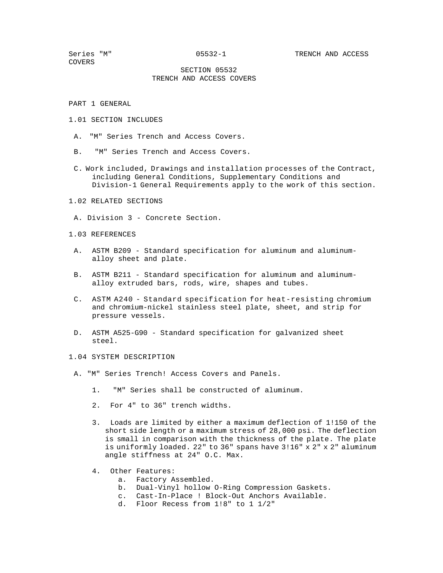COVERS

## SECTION 05532 TRENCH AND ACCESS COVERS

PART 1 GENERAL

- 1.01 SECTION INCLUDES
- A. "M" Series Trench and Access Covers.
- B. "M" Series Trench and Access Covers.
- C. Work included, Drawings and installation processes of the Contract, including General Conditions, Supplementary Conditions and Division-1 General Requirements apply to the work of this section.
- 1.02 RELATED SECTIONS
	- A. Division 3 Concrete Section.

### 1.03 REFERENCES

- A. ASTM B209 Standard specification for aluminum and aluminumalloy sheet and plate.
- B. ASTM B211 Standard specification for aluminum and aluminumalloy extruded bars, rods, wire, shapes and tubes.
- C. ASTM A240 Standard specification for heat-resisting chromium and chromium-nickel stainless steel plate, sheet, and strip for pressure vessels.
- D. ASTM A525-G90 Standard specification for galvanized sheet steel.

1.04 SYSTEM DESCRIPTION

- A. "M" Series Trench! Access Covers and Panels.
	- 1. "M" Series shall be constructed of aluminum.
	- 2. For 4" to 36" trench widths.
	- 3. Loads are limited by either a maximum deflection of 1!150 of the short side length or a maximum stress of 28,000 psi. The deflection is small in comparison with the thickness of the plate. The plate is uniformly loaded. 22" to 36" spans have 3!16" x 2" x 2" aluminum angle stiffness at 24" O.C. Max.
	- 4. Other Features:
		- a. Factory Assembled.
		- b. Dual-Vinyl hollow O-Ring Compression Gaskets.
		- c. Cast-In-Place ! Block-Out Anchors Available.
		- d. Floor Recess from 1!8" to 1 1/2"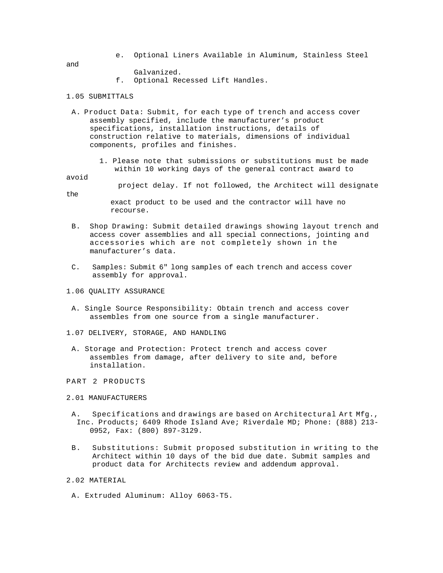e. Optional Liners Available in Aluminum, Stainless Steel

and

- Galvanized.
- f. Optional Recessed Lift Handles.

# 1.05 SUBMITTALS

- A. Product Data: Submit, for each type of trench and access cover assembly specified, include the manufacturer's product specifications, installation instructions, details of construction relative to materials, dimensions of individual components, profiles and finishes.
	- 1. Please note that submissions or substitutions must be made within 10 working days of the general contract award to

### avoid

project delay. If not followed, the Architect will designate

the

exact product to be used and the contractor will have no recourse.

- B. Shop Drawing: Submit detailed drawings showing layout trench and access cover assemblies and all special connections, jointing and accessories which are not completely shown in the manufacturer's data.
- C. Samples: Submit 6" long samples of each trench and access cover assembly for approval.
- 1.06 QUALITY ASSURANCE
- A. Single Source Responsibility: Obtain trench and access cover assembles from one source from a single manufacturer.
- 1.07 DELIVERY, STORAGE, AND HANDLING
- A. Storage and Protection: Protect trench and access cover assembles from damage, after delivery to site and, before installation.
- PART 2 PRODUCTS

### 2.01 MANUFACTURERS

- A. Specifications and drawings are based on Architectural Art Mfg., Inc. Products; 6409 Rhode Island Ave; Riverdale MD; Phone: (888) 213- 0952, Fax: (800) 897-3129.
- B. Substitutions: Submit proposed substitution in writing to the Architect within 10 days of the bid due date. Submit samples and product data for Architects review and addendum approval.
- 2.02 MATERIAL
- A. Extruded Aluminum: Alloy 6063-T5.